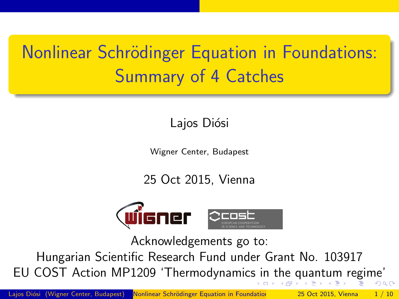## Nonlinear Schrödinger Equation in Foundations: Summary of 4 Catches

#### Lajos Diósi

Wigner Center, Budapest

25 Oct 2015, Vienna



<span id="page-0-0"></span>Acknowledgements go to:

Hungarian Scientific Research Fund under Grant No. 103917 EU COST Action MP1209 'Thermodynamic[s in](#page-0-0) [t](#page-1-0)[he](#page-0-0) [q](#page-1-0)[ua](#page-0-0)[n](#page-1-0)[t](#page-2-0)[um](#page-0-0) [r](#page-2-0)[e](#page-0-0)[gim](#page-9-0)e'  $\Omega$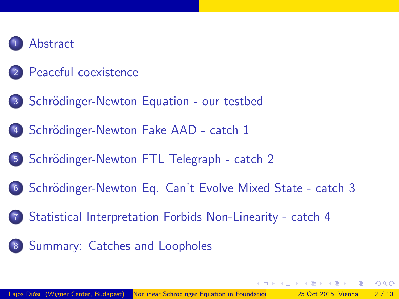

#### **[Peaceful coexistence](#page-3-0)**

- 3 Schrödinger-Newton Equation our testbed
- Schrödinger-Newton Fake AAD catch 1
- 5 Schrödinger-Newton FTL Telegraph catch 2
- 6 Schrödinger-Newton Eq. Can't Evolve Mixed State catch 3
- <sup>7</sup> [Statistical Interpretation Forbids Non-Linearity catch 4](#page-8-0)
- <sup>8</sup> [Summary: Catches and Loopholes](#page-9-0)

<span id="page-1-0"></span> $\Omega$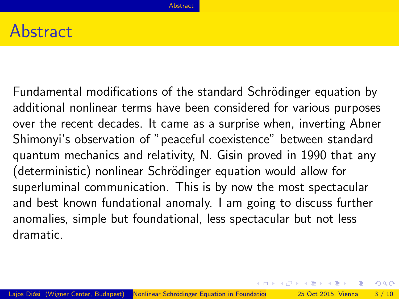#### **Abstract**

Fundamental modifications of the standard Schrödinger equation by additional nonlinear terms have been considered for various purposes over the recent decades. It came as a surprise when, inverting Abner Shimonyi's observation of "peaceful coexistence" between standard quantum mechanics and relativity, N. Gisin proved in 1990 that any (deterministic) nonlinear Schrödinger equation would allow for superluminal communication. This is by now the most spectacular and best known fundational anomaly. I am going to discuss further anomalies, simple but foundational, less spectacular but not less dramatic.

<span id="page-2-0"></span> $QQQ$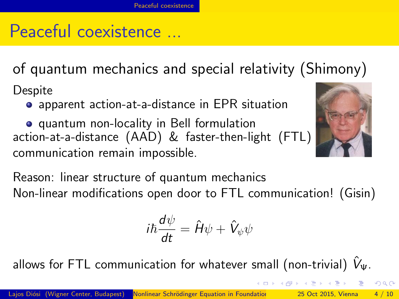## Peaceful coexistence ...

of quantum mechanics and special relativity (Shimony)

**Despite** 

apparent action-at-a-distance in EPR situation

quantum non-locality in Bell formulation action-at-a-distance (AAD) & faster-then-light (FTL) communication remain impossible.



$$
i\hbar \frac{d\psi}{dt} = \hat{H}\psi + \hat{V}_{\psi}\psi
$$

allows for FTL communication for whatever small (non-trivial)  $V_{\Psi}$ .

<span id="page-3-0"></span> $\Omega$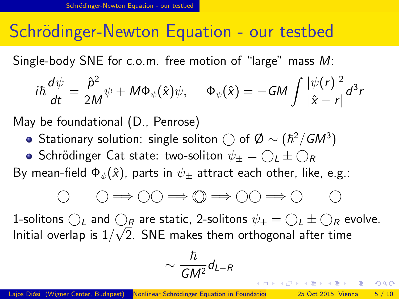#### Schrödinger-Newton Equation - our testbed

Single-body SNE for c.o.m. free motion of "large" mass M:

$$
i\hbar \frac{d\psi}{dt} = \frac{\hat{p}^2}{2M}\psi + M\Phi_{\psi}(\hat{x})\psi, \quad \Phi_{\psi}(\hat{x}) = -GM \int \frac{|\psi(r)|^2}{|\hat{x} - r|} d^3r
$$

May be foundational (D., Penrose)

- Stationary solution: single soliton  $\bigcirc$  of  $\emptyset \sim (\hbar^2/GM^3)$
- Schrödinger Cat state: two-soliton  $\psi_+ = \bigcap_L \pm \bigcap_R$

By mean-field  $\Phi_{\psi}(\hat{x})$ , parts in  $\psi_{\pm}$  attract each other, like, e.g.:

$$
\begin{array}{ccc} \circ & \circ \Rightarrow \circ \circ \Rightarrow \circ \Rightarrow \circ \circ \Rightarrow \circ \circ \Rightarrow \circ \circ \circ \circ \end{array}
$$

1-solitons  $\bigcirc_L$  and  $\bigcirc_R$  are static, 2-solitons  $\psi_{\pm} = \bigcirc_L \pm \bigcirc_R$  evolve. Initial overlap is  $1/\surd 2$ . SNE makes them orthogonal after time

$$
\sim \frac{\hbar}{GM^2}d_{L-R}
$$

<span id="page-4-0"></span>KORKA ERKER EL AQA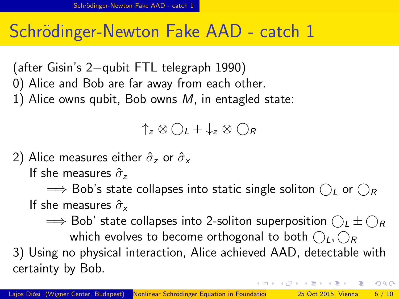### Schrödinger-Newton Fake AAD - catch 1

(after Gisin's 2−qubit FTL telegraph 1990) 0) Alice and Bob are far away from each other. 1) Alice owns qubit, Bob owns  $M$ , in entagled state:

#### $\uparrow$ <sub>z</sub>  $\otimes$   $\bigcap$ <sub>*t*</sub> +  $\downarrow$ <sub>z</sub>  $\otimes$   $\bigcap$ <sub>R</sub>

2) Alice measures either  $\hat{\sigma}_z$  or  $\hat{\sigma}_x$ 

If she measures  $\hat{\sigma}_z$ 

 $\implies$  Bob's state collapses into static single soliton  $\bigcap_{L}$  or  $\bigcap_{R}$ If she measures  $\hat{\sigma}_r$ 

 $\implies$  Bob' state collapses into 2-soliton superposition  $\bigcap_{L} \pm \bigcap_{R}$ which evolves to become orthogonal to both  $\bigcap_{L}$ ,  $\bigcap_{R}$ 3) Using no physical interaction, Alice achieved AAD, detectable with certainty by Bob.

<span id="page-5-0"></span> $QQQ$ 

←ロト ←何ト ←ヨト ←ヨト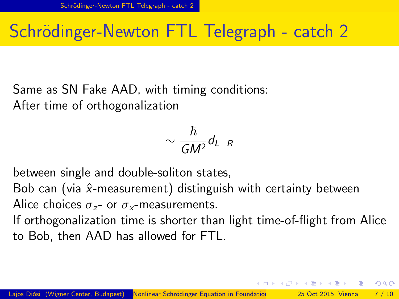## Schrödinger-Newton FTL Telegraph - catch 2

Same as SN Fake AAD, with timing conditions: After time of orthogonalization

$$
\sim \frac{\hbar}{GM^2}d_{L-R}
$$

between single and double-soliton states,

Bob can (via  $\hat{x}$ -measurement) distinguish with certainty between Alice choices  $\sigma_{z}$ - or  $\sigma_{x}$ -measurements.

If orthogonalization time is shorter than light time-of-flight from Alice to Bob, then AAD has allowed for FTL.

<span id="page-6-0"></span> $QQQ$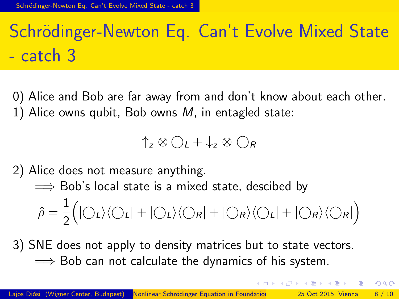# Schrödinger-Newton Eq. Can't Evolve Mixed State - catch 3

0) Alice and Bob are far away from and don't know about each other. 1) Alice owns qubit, Bob owns  $M$ , in entagled state:

 $\uparrow$ <sub>z</sub>  $\otimes$   $\bigcap$ <sub>*t*</sub> +  $\downarrow$ <sub>z</sub>  $\otimes$   $\bigcap$ <sub>R</sub>

2) Alice does not measure anything.

 $\implies$  Bob's local state is a mixed state, descibed by

$$
\hat{\rho} = \frac{1}{2} (|\bigcirc_L\rangle\langle\bigcirc_L| + |\bigcirc_L\rangle\langle\bigcirc_R| + |\bigcirc_R\rangle\langle\bigcirc_L| + |\bigcirc_R\rangle\langle\bigcirc_R|)
$$

3) SNE does not apply to density matrices but to state vectors.  $\implies$  Bob can not calculate the dynamics of his system.

<span id="page-7-0"></span> $200$ 

(ロトス例) スラトスラト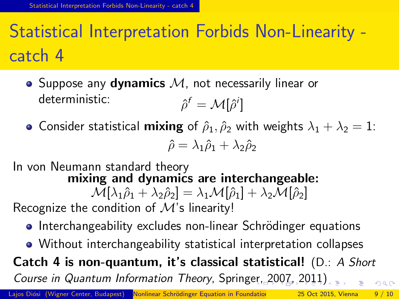## Statistical Interpretation Forbids Non-Linearity catch 4

- Suppose any dynamics  $M$ , not necessarily linear or deterministic:  $f = \mathcal{M}[\hat{\rho}^i]$
- Consider statistical **mixing** of  $\hat{\rho}_1, \hat{\rho}_2$  with weights  $\lambda_1 + \lambda_2 = 1$ :  $\hat{\rho} = \lambda_1 \hat{\rho}_1 + \lambda_2 \hat{\rho}_2$
- In von Neumann standard theory mixing and dynamics are interchangeable:  $\mathcal{M}[\lambda_1 \hat{\rho}_1 + \lambda_2 \hat{\rho}_2] = \lambda_1 \mathcal{M}[\hat{\rho}_1] + \lambda_2 \mathcal{M}[\hat{\rho}_2]$ Recognize the condition of  $M$ 's linearity!
	- Interchangeability excludes non-linear Schrödinger equations
	- Without interchangeability statistical interpretation collapses

<span id="page-8-0"></span>Catch 4 is non-quantum, it's classical statistical! (D.: A Short Course in Quantum Information Theory, Spring[er,](#page-7-0) [20](#page-9-0)[0](#page-7-0)[7,](#page-8-0)[20](#page-7-0)[1](#page-8-0)[1\)](#page-9-0)  $QQ$